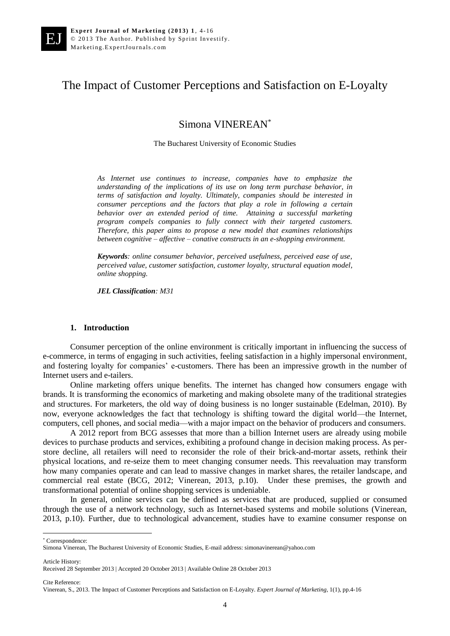EJ

# The Impact of Customer Perceptions and Satisfaction on E-Loyalty

Simona VINEREAN\*

The Bucharest University of Economic Studies

*As Internet use continues to increase, companies have to emphasize the understanding of the implications of its use on long term purchase behavior, in terms of satisfaction and loyalty. Ultimately, companies should be interested in consumer perceptions and the factors that play a role in following a certain behavior over an extended period of time. Attaining a successful marketing program compels companies to fully connect with their targeted customers. Therefore, this paper aims to propose a new model that examines relationships between cognitive – affective – conative constructs in an e-shopping environment.*

*Keywords: online consumer behavior, perceived usefulness, perceived ease of use, perceived value, customer satisfaction, customer loyalty, structural equation model, online shopping.*

*JEL Classification: M31*

#### **1. Introduction**

Consumer perception of the online environment is critically important in influencing the success of e-commerce, in terms of engaging in such activities, feeling satisfaction in a highly impersonal environment, and fostering loyalty for companies' e-customers. There has been an impressive growth in the number of Internet users and e-tailers.

Online marketing offers unique benefits. The internet has changed how consumers engage with brands. It is transforming the economics of marketing and making obsolete many of the traditional strategies and structures. For marketers, the old way of doing business is no longer sustainable (Edelman, 2010). By now, everyone acknowledges the fact that technology is shifting toward the digital world—the Internet, computers, cell phones, and social media—with a major impact on the behavior of producers and consumers.

A 2012 report from BCG assesses that more than a billion Internet users are already using mobile devices to purchase products and services, exhibiting a profound change in decision making process. As perstore decline, all retailers will need to reconsider the role of their brick-and-mortar assets, rethink their physical locations, and re-seize them to meet changing consumer needs. This reevaluation may transform how many companies operate and can lead to massive changes in market shares, the retailer landscape, and commercial real estate (BCG, 2012; Vinerean, 2013, p.10). Under these premises, the growth and transformational potential of online shopping services is undeniable.

In general, online services can be defined as services that are produced, supplied or consumed through the use of a network technology, such as Internet-based systems and mobile solutions (Vinerean, 2013, p.10). Further, due to technological advancement, studies have to examine consumer response on

\* Correspondence:

Article History:

 $\ddot{\phantom{a}}$ 

Cite Reference:

Simona Vinerean, The Bucharest University of Economic Studies, E-mail address: simonavinerean@yahoo.com

Received 28 September 2013 | Accepted 20 October 2013 | Available Online 28 October 2013

Vinerean, S., 2013. The Impact of Customer Perceptions and Satisfaction on E-Loyalty. *Expert Journal of Marketing*, 1(1), pp.4-16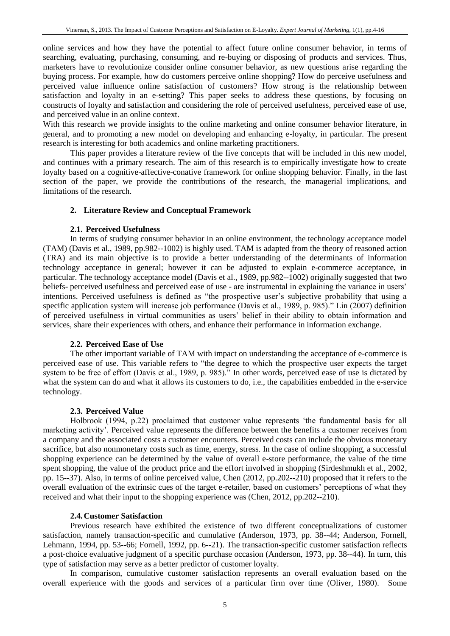online services and how they have the potential to affect future online consumer behavior, in terms of searching, evaluating, purchasing, consuming, and re-buying or disposing of products and services. Thus, marketers have to revolutionize consider online consumer behavior, as new questions arise regarding the buying process. For example, how do customers perceive online shopping? How do perceive usefulness and perceived value influence online satisfaction of customers? How strong is the relationship between satisfaction and loyalty in an e-setting? This paper seeks to address these questions, by focusing on constructs of loyalty and satisfaction and considering the role of perceived usefulness, perceived ease of use, and perceived value in an online context.

With this research we provide insights to the online marketing and online consumer behavior literature, in general, and to promoting a new model on developing and enhancing e-loyalty, in particular. The present research is interesting for both academics and online marketing practitioners.

This paper provides a literature review of the five concepts that will be included in this new model, and continues with a primary research. The aim of this research is to empirically investigate how to create loyalty based on a cognitive-affective-conative framework for online shopping behavior. Finally, in the last section of the paper, we provide the contributions of the research, the managerial implications, and limitations of the research.

# **2. Literature Review and Conceptual Framework**

#### **2.1. Perceived Usefulness**

In terms of studying consumer behavior in an online environment, the technology acceptance model (TAM) (Davis et al., 1989, pp.982--1002) is highly used. TAM is adapted from the theory of reasoned action (TRA) and its main objective is to provide a better understanding of the determinants of information technology acceptance in general; however it can be adjusted to explain e-commerce acceptance, in particular. The technology acceptance model (Davis et al., 1989, pp.982--1002) originally suggested that two beliefs- perceived usefulness and perceived ease of use - are instrumental in explaining the variance in users' intentions. Perceived usefulness is defined as "the prospective user's subjective probability that using a specific application system will increase job performance (Davis et al., 1989, p. 985)." Lin (2007) definition of perceived usefulness in virtual communities as users' belief in their ability to obtain information and services, share their experiences with others, and enhance their performance in information exchange.

# **2.2. Perceived Ease of Use**

The other important variable of TAM with impact on understanding the acceptance of e-commerce is perceived ease of use. This variable refers to "the degree to which the prospective user expects the target system to be free of effort (Davis et al., 1989, p. 985)." In other words, perceived ease of use is dictated by what the system can do and what it allows its customers to do, i.e., the capabilities embedded in the e-service technology.

# **2.3. Perceived Value**

Holbrook (1994, p.22) proclaimed that customer value represents 'the fundamental basis for all marketing activity'. Perceived value represents the difference between the benefits a customer receives from a company and the associated costs a customer encounters. Perceived costs can include the obvious monetary sacrifice, but also nonmonetary costs such as time, energy, stress. In the case of online shopping, a successful shopping experience can be determined by the value of overall e-store performance, the value of the time spent shopping, the value of the product price and the effort involved in shopping (Sirdeshmukh et al., 2002, pp. 15--37). Also, in terms of online perceived value, Chen (2012, pp.202--210) proposed that it refers to the overall evaluation of the extrinsic cues of the target e-retailer, based on customers' perceptions of what they received and what their input to the shopping experience was (Chen, 2012, pp.202--210).

#### **2.4.Customer Satisfaction**

Previous research have exhibited the existence of two different conceptualizations of customer satisfaction, namely transaction-specific and cumulative (Anderson, 1973, pp. 38--44; Anderson, Fornell, Lehmann, 1994, pp. 53--66; Fornell, 1992, pp. 6--21). The transaction-specific customer satisfaction reflects a post-choice evaluative judgment of a specific purchase occasion (Anderson, 1973, pp. 38--44). In turn, this type of satisfaction may serve as a better predictor of customer loyalty.

In comparison, cumulative customer satisfaction represents an overall evaluation based on the overall experience with the goods and services of a particular firm over time (Oliver, 1980). Some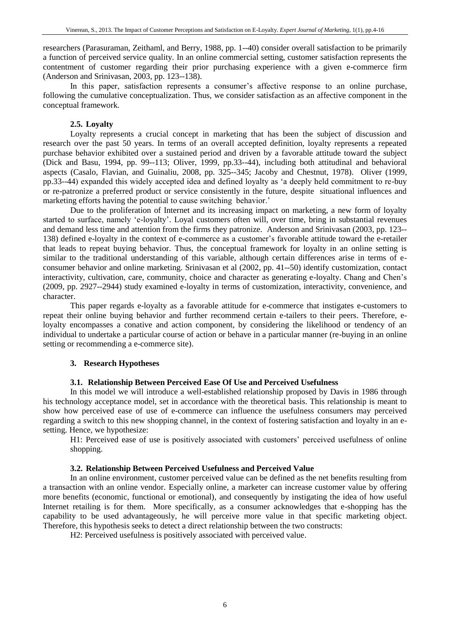researchers (Parasuraman, Zeithaml, and Berry, 1988, pp. 1--40) consider overall satisfaction to be primarily a function of perceived service quality. In an online commercial setting, customer satisfaction represents the contentment of customer regarding their prior purchasing experience with a given e-commerce firm (Anderson and Srinivasan, 2003, pp. 123--138).

In this paper, satisfaction represents a consumer's affective response to an online purchase, following the cumulative conceptualization. Thus, we consider satisfaction as an affective component in the conceptual framework.

# **2.5. Loyalty**

Loyalty represents a crucial concept in marketing that has been the subject of discussion and research over the past 50 years. In terms of an overall accepted definition, loyalty represents a repeated purchase behavior exhibited over a sustained period and driven by a favorable attitude toward the subject (Dick and Basu, 1994, pp. 99--113; Oliver, 1999, pp.33--44), including both attitudinal and behavioral aspects (Casalo, Flavian, and Guinaliu, 2008, pp. 325--345; Jacoby and Chestnut, 1978). Oliver (1999, pp.33--44) expanded this widely accepted idea and defined loyalty as 'a deeply held commitment to re-buy or re-patronize a preferred product or service consistently in the future, despite situational influences and marketing efforts having the potential to cause switching behavior.'

Due to the proliferation of Internet and its increasing impact on marketing, a new form of loyalty started to surface, namely 'e-loyalty'. Loyal customers often will, over time, bring in substantial revenues and demand less time and attention from the firms they patronize. Anderson and Srinivasan (2003, pp. 123-- 138) defined e-loyalty in the context of e-commerce as a customer's favorable attitude toward the e-retailer that leads to repeat buying behavior. Thus, the conceptual framework for loyalty in an online setting is similar to the traditional understanding of this variable, although certain differences arise in terms of econsumer behavior and online marketing. Srinivasan et al (2002, pp. 41--50) identify customization, contact interactivity, cultivation, care, community, choice and character as generating e-loyalty. Chang and Chen's (2009, pp. 2927--2944) study examined e-loyalty in terms of customization, interactivity, convenience, and character.

This paper regards e-loyalty as a favorable attitude for e-commerce that instigates e-customers to repeat their online buying behavior and further recommend certain e-tailers to their peers. Therefore, eloyalty encompasses a conative and action component, by considering the likelihood or tendency of an individual to undertake a particular course of action or behave in a particular manner (re-buying in an online setting or recommending a e-commerce site).

# **3. Research Hypotheses**

# **3.1. Relationship Between Perceived Ease Of Use and Perceived Usefulness**

In this model we will introduce a well-established relationship proposed by Davis in 1986 through his technology acceptance model, set in accordance with the theoretical basis. This relationship is meant to show how perceived ease of use of e-commerce can influence the usefulness consumers may perceived regarding a switch to this new shopping channel, in the context of fostering satisfaction and loyalty in an esetting. Hence, we hypothesize:

H1: Perceived ease of use is positively associated with customers' perceived usefulness of online shopping.

# **3.2. Relationship Between Perceived Usefulness and Perceived Value**

In an online environment, customer perceived value can be defined as the net benefits resulting from a transaction with an online vendor. Especially online, a marketer can increase customer value by offering more benefits (economic, functional or emotional), and consequently by instigating the idea of how useful Internet retailing is for them. More specifically, as a consumer acknowledges that e-shopping has the capability to be used advantageously, he will perceive more value in that specific marketing object. Therefore, this hypothesis seeks to detect a direct relationship between the two constructs:

H2: Perceived usefulness is positively associated with perceived value.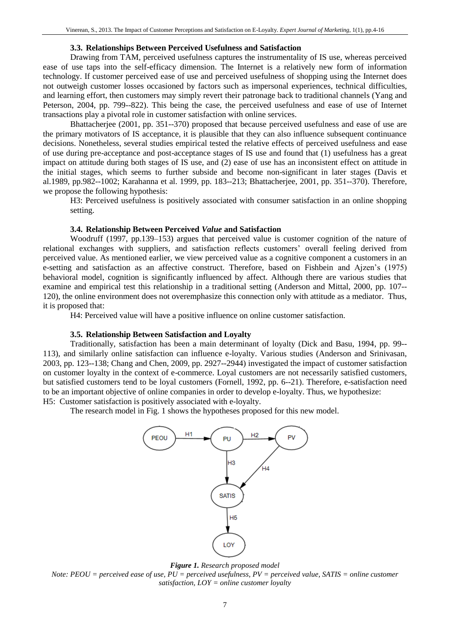# **3.3. Relationships Between Perceived Usefulness and Satisfaction**

Drawing from TAM, perceived usefulness captures the instrumentality of IS use, whereas perceived ease of use taps into the self-efficacy dimension. The Internet is a relatively new form of information technology. If customer perceived ease of use and perceived usefulness of shopping using the Internet does not outweigh customer losses occasioned by factors such as impersonal experiences, technical difficulties, and learning effort, then customers may simply revert their patronage back to traditional channels (Yang and Peterson, 2004, pp. 799--822). This being the case, the perceived usefulness and ease of use of Internet transactions play a pivotal role in customer satisfaction with online services.

Bhattacherjee (2001, pp. 351--370) proposed that because perceived usefulness and ease of use are the primary motivators of IS acceptance, it is plausible that they can also influence subsequent continuance decisions. Nonetheless, several studies empirical tested the relative effects of perceived usefulness and ease of use during pre-acceptance and post-acceptance stages of IS use and found that (1) usefulness has a great impact on attitude during both stages of IS use, and (2) ease of use has an inconsistent effect on attitude in the initial stages, which seems to further subside and become non-significant in later stages (Davis et al.1989, pp.982--1002; Karahanna et al. 1999, pp. 183--213; Bhattacherjee, 2001, pp. 351--370). Therefore, we propose the following hypothesis:

H3: Perceived usefulness is positively associated with consumer satisfaction in an online shopping setting.

#### **3.4. Relationship Between Perceived** *Value* **and Satisfaction**

Woodruff (1997, pp.139–153) argues that perceived value is customer cognition of the nature of relational exchanges with suppliers, and satisfaction reflects customers' overall feeling derived from perceived value. As mentioned earlier, we view perceived value as a cognitive component a customers in an e-setting and satisfaction as an affective construct. Therefore, based on Fishbein and Ajzen's (1975) behavioral model, cognition is significantly influenced by affect. Although there are various studies that examine and empirical test this relationship in a traditional setting (Anderson and Mittal, 2000, pp. 107-- 120), the online environment does not overemphasize this connection only with attitude as a mediator. Thus, it is proposed that:

H4: Perceived value will have a positive influence on online customer satisfaction.

#### **3.5. Relationship Between Satisfaction and Loyalty**

Traditionally, satisfaction has been a main determinant of loyalty (Dick and Basu, 1994, pp. 99-- 113), and similarly online satisfaction can influence e-loyalty. Various studies (Anderson and Srinivasan, 2003, pp. 123--138; Chang and Chen, 2009, pp. 2927--2944) investigated the impact of customer satisfaction on customer loyalty in the context of e-commerce. Loyal customers are not necessarily satisfied customers, but satisfied customers tend to be loyal customers (Fornell, 1992, pp. 6--21). Therefore, e-satisfaction need to be an important objective of online companies in order to develop e-loyalty. Thus, we hypothesize: H5: Customer satisfaction is positively associated with e-loyalty.

The research model in Fig. 1 shows the hypotheses proposed for this new model.



*Figure 1. Research proposed model*

*Note: PEOU = perceived ease of use, PU = perceived usefulness, PV = perceived value, SATIS = online customer satisfaction, LOY = online customer loyalty*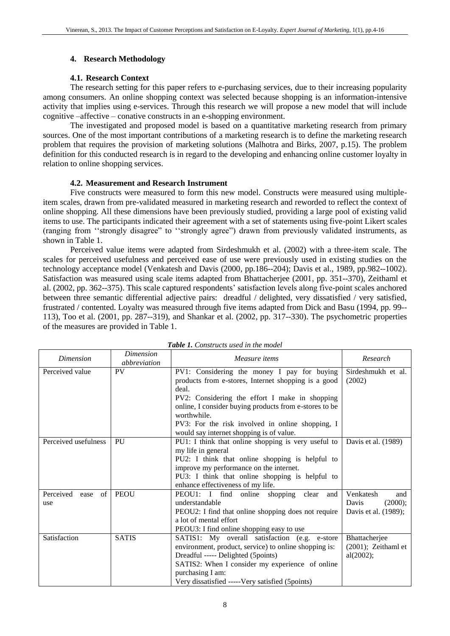# **4. Research Methodology**

# **4.1. Research Context**

The research setting for this paper refers to e-purchasing services, due to their increasing popularity among consumers. An online shopping context was selected because shopping is an information-intensive activity that implies using e-services. Through this research we will propose a new model that will include cognitive –affective – conative constructs in an e-shopping environment.

The investigated and proposed model is based on a quantitative marketing research from primary sources. One of the most important contributions of a marketing research is to define the marketing research problem that requires the provision of marketing solutions (Malhotra and Birks, 2007, p.15). The problem definition for this conducted research is in regard to the developing and enhancing online customer loyalty in relation to online shopping services.

# **4.2. Measurement and Research Instrument**

Five constructs were measured to form this new model. Constructs were measured using multipleitem scales, drawn from pre-validated measured in marketing research and reworded to reflect the context of online shopping. All these dimensions have been previously studied, providing a large pool of existing valid items to use. The participants indicated their agreement with a set of statements using five-point Likert scales (ranging from ''strongly disagree" to ''strongly agree") drawn from previously validated instruments, as shown in Table 1.

Perceived value items were adapted from Sirdeshmukh et al. (2002) with a three-item scale. The scales for perceived usefulness and perceived ease of use were previously used in existing studies on the technology acceptance model (Venkatesh and Davis (2000, pp.186--204); Davis et al., 1989, pp.982--1002). Satisfaction was measured using scale items adapted from Bhattacherjee (2001, pp. 351--370), Zeithaml et al. (2002, pp. 362--375). This scale captured respondents' satisfaction levels along five-point scales anchored between three semantic differential adjective pairs: dreadful / delighted, very dissatisfied / very satisfied, frustrated / contented. Loyalty was measured through five items adapted from Dick and Basu (1994, pp. 99-- 113), Too et al. (2001, pp. 287--319), and Shankar et al. (2002, pp. 317--330). The psychometric properties of the measures are provided in Table 1.

| <b>Dimension</b>               | <i>Dimension</i><br>abbreviation | Measure items                                                                                                                                                                                                                                                                                                                          | Research                                                     |
|--------------------------------|----------------------------------|----------------------------------------------------------------------------------------------------------------------------------------------------------------------------------------------------------------------------------------------------------------------------------------------------------------------------------------|--------------------------------------------------------------|
| Perceived value                | PV                               | PV1: Considering the money I pay for buying<br>products from e-stores, Internet shopping is a good<br>deal.<br>PV2: Considering the effort I make in shopping<br>online, I consider buying products from e-stores to be<br>worthwhile.<br>PV3: For the risk involved in online shopping, I<br>would say internet shopping is of value. | Sirdeshmukh et al.<br>(2002)                                 |
| Perceived usefulness           | PU                               | PU1: I think that online shopping is very useful to<br>my life in general<br>PU2: I think that online shopping is helpful to<br>improve my performance on the internet.<br>PU3: I think that online shopping is helpful to<br>enhance effectiveness of my life.                                                                        | Davis et al. (1989)                                          |
| Perceived<br>of<br>ease<br>use | <b>PEOU</b>                      | PEOU1: I find online shopping<br>clear<br>and<br>understandable<br>PEOU2: I find that online shopping does not require<br>a lot of mental effort<br>PEOU3: I find online shopping easy to use                                                                                                                                          | Venkatesh<br>and<br>Davis<br>(2000);<br>Davis et al. (1989); |
| Satisfaction                   | <b>SATIS</b>                     | SATIS1: My overall satisfaction (e.g. e-store<br>environment, product, service) to online shopping is:<br>Dreadful ----- Delighted (5points)<br>SATIS2: When I consider my experience of online<br>purchasing I am:<br>Very dissatisfied ----- Very satisfied (5 points)                                                               | Bhattacherjee<br>$(2001)$ ; Zeithaml et<br>al(2002);         |

*Table 1. Constructs used in the model*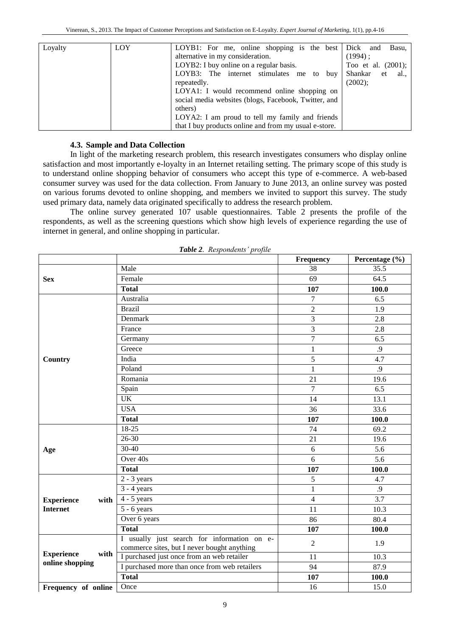| Loyalty | LOY | LOYB1: For me, online shopping is the best            | Dick<br>Basu,<br>and        |
|---------|-----|-------------------------------------------------------|-----------------------------|
|         |     | alternative in my consideration.                      | $(1994)$ :                  |
|         |     | LOYB2: I buy online on a regular basis.               | Too et al. $(2001)$ ;       |
|         |     | LOYB3: The internet stimulates me<br>to buv           | Shankar<br>$\cdot$ et<br>al |
|         |     | repeatedly.                                           | (2002);                     |
|         |     | LOYA1: I would recommend online shopping on           |                             |
|         |     | social media websites (blogs, Facebook, Twitter, and  |                             |
|         |     | others)                                               |                             |
|         |     | LOYA2: I am proud to tell my family and friends       |                             |
|         |     | that I buy products online and from my usual e-store. |                             |

# **4.3. Sample and Data Collection**

In light of the marketing research problem, this research investigates consumers who display online satisfaction and most importantly e-loyalty in an Internet retailing setting. The primary scope of this study is to understand online shopping behavior of consumers who accept this type of e-commerce. A web-based consumer survey was used for the data collection. From January to June 2013, an online survey was posted on various forums devoted to online shopping, and members we invited to support this survey. The study used primary data, namely data originated specifically to address the research problem.

The online survey generated 107 usable questionnaires. Table 2 presents the profile of the respondents, as well as the screening questions which show high levels of experience regarding the use of internet in general, and online shopping in particular.

|                           |                                                                                            | Frequency      | Percentage (%) |
|---------------------------|--------------------------------------------------------------------------------------------|----------------|----------------|
|                           | Male                                                                                       | 38             | 35.5           |
| <b>Sex</b>                | Female                                                                                     | 69             | 64.5           |
|                           | <b>Total</b>                                                                               | 107            | 100.0          |
|                           | Australia                                                                                  | $\overline{7}$ | 6.5            |
|                           | <b>Brazil</b>                                                                              | $\overline{c}$ | 1.9            |
|                           | Denmark                                                                                    | $\overline{3}$ | 2.8            |
|                           | France                                                                                     | 3              | 2.8            |
|                           | Germany                                                                                    | $\overline{7}$ | 6.5            |
|                           | Greece                                                                                     | $\mathbf{1}$   | .9             |
| Country                   | India                                                                                      | 5              | 4.7            |
|                           | Poland                                                                                     | $\mathbf{1}$   | .9             |
|                           | Romania                                                                                    | 21             | 19.6           |
|                           | Spain                                                                                      | $\overline{7}$ | 6.5            |
|                           | <b>UK</b>                                                                                  | 14             | 13.1           |
|                           | <b>USA</b>                                                                                 | 36             | 33.6           |
|                           | <b>Total</b>                                                                               | 107            | 100.0          |
|                           | $18-25$                                                                                    | 74             | 69.2           |
|                           | $26 - 30$                                                                                  | 21             | 19.6           |
| Age                       | $30 - 40$                                                                                  | 6              | 5.6            |
|                           | Over 40s                                                                                   | 6              | 5.6            |
|                           | <b>Total</b>                                                                               | 107            | 100.0          |
|                           | $2 - 3$ years                                                                              | 5              | 4.7            |
|                           | $3 - 4$ years                                                                              | $\mathbf{1}$   | .9             |
| <b>Experience</b><br>with | $4 - 5$ years                                                                              | 4              | 3.7            |
| <b>Internet</b>           | $5 - 6$ years                                                                              | 11             | 10.3           |
|                           | Over 6 years                                                                               | 86             | 80.4           |
|                           | <b>Total</b>                                                                               | 107            | 100.0          |
|                           | I usually just search for information on e-<br>commerce sites, but I never bought anything | $\overline{2}$ | 1.9            |
| <b>Experience</b><br>with | I purchased just once from an web retailer                                                 | 11             | 10.3           |
| online shopping           | I purchased more than once from web retailers                                              | 94             | 87.9           |
|                           | <b>Total</b>                                                                               | 107            | 100.0          |
| Frequency of online       | Once                                                                                       | 16             | 15.0           |

*Table 2. Respondents' profile*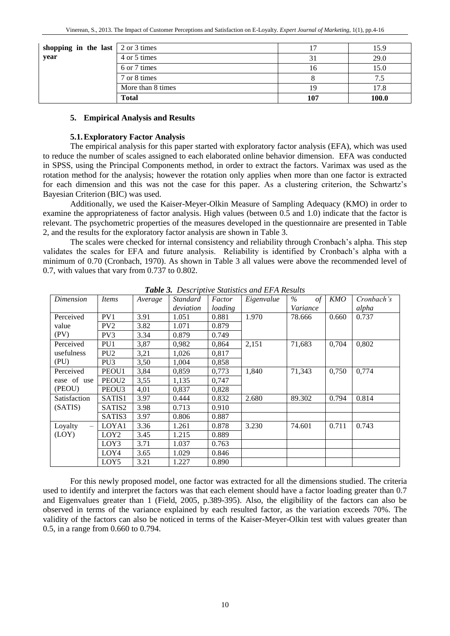| shopping in the last $\vert$ 2 or 3 times |                   |     | 15.9  |
|-------------------------------------------|-------------------|-----|-------|
| year                                      | 4 or 5 times      |     | 29.0  |
|                                           | 6 or 7 times      | 1 O | 15.0  |
|                                           | 7 or 8 times      |     | 7.5   |
|                                           | More than 8 times |     | 17.8  |
|                                           | <b>Total</b>      | 107 | 100.0 |

#### **5. Empirical Analysis and Results**

### **5.1.Exploratory Factor Analysis**

The empirical analysis for this paper started with exploratory factor analysis (EFA), which was used to reduce the number of scales assigned to each elaborated online behavior dimension. EFA was conducted in SPSS, using the Principal Components method, in order to extract the factors. Varimax was used as the rotation method for the analysis; however the rotation only applies when more than one factor is extracted for each dimension and this was not the case for this paper. As a clustering criterion, the Schwartz's Bayesian Criterion (BIC) was used.

Additionally, we used the Kaiser-Meyer-Olkin Measure of Sampling Adequacy (KMO) in order to examine the appropriateness of factor analysis. High values (between 0.5 and 1.0) indicate that the factor is relevant. The psychometric properties of the measures developed in the questionnaire are presented in Table 2, and the results for the exploratory factor analysis are shown in Table 3.

The scales were checked for internal consistency and reliability through Cronbach's alpha. This step validates the scales for EFA and future analysis. Reliability is identified by Cronbach's alpha with a minimum of 0.70 (Cronbach, 1970). As shown in Table 3 all values were above the recommended level of 0.7, with values that vary from 0.737 to 0.802.

| Dimension                           | <i>Items</i>      | Average | <i>Standard</i> | Factor  | Eigenvalue | $\%$<br>$\sigma f$ | KMO   | Cronbach's |
|-------------------------------------|-------------------|---------|-----------------|---------|------------|--------------------|-------|------------|
|                                     |                   |         | deviation       | loading |            | Variance           |       | alpha      |
| Perceived                           | PV1               | 3.91    | 1.051           | 0.881   | 1.970      | 78.666             | 0.660 | 0.737      |
| value                               | PV <sub>2</sub>   | 3.82    | 1.071           | 0.879   |            |                    |       |            |
| (PV)                                | PV3               | 3.34    | 0.879           | 0.749   |            |                    |       |            |
| Perceived                           | PU <sub>1</sub>   | 3,87    | 0,982           | 0,864   | 2,151      | 71,683             | 0,704 | 0,802      |
| usefulness                          | PU <sub>2</sub>   | 3,21    | 1,026           | 0,817   |            |                    |       |            |
| (PU)                                | PU <sub>3</sub>   | 3,50    | 1,004           | 0,858   |            |                    |       |            |
| Perceived                           | PEOU1             | 3,84    | 0,859           | 0,773   | 1,840      | 71,343             | 0,750 | 0,774      |
| ease of use                         | PEOU <sub>2</sub> | 3,55    | 1,135           | 0,747   |            |                    |       |            |
| (PEOU)                              | PEOU <sub>3</sub> | 4,01    | 0,837           | 0,828   |            |                    |       |            |
| Satisfaction                        | SATIS1            | 3.97    | 0.444           | 0.832   | 2.680      | 89.302             | 0.794 | 0.814      |
| (SATIS)                             | SATIS2            | 3.98    | 0.713           | 0.910   |            |                    |       |            |
|                                     | SATIS3            | 3.97    | 0.806           | 0.887   |            |                    |       |            |
| Loyalty<br>$\overline{\phantom{m}}$ | LOYA1             | 3.36    | 1.261           | 0.878   | 3.230      | 74.601             | 0.711 | 0.743      |
| (LOY)                               | LOY <sub>2</sub>  | 3.45    | 1.215           | 0.889   |            |                    |       |            |
|                                     | LOY3              | 3.71    | 1.037           | 0.763   |            |                    |       |            |
|                                     | LOY4              | 3.65    | 1.029           | 0.846   |            |                    |       |            |
|                                     | LOY5              | 3.21    | 1.227           | 0.890   |            |                    |       |            |

*Table 3. Descriptive Statistics and EFA Results*

For this newly proposed model, one factor was extracted for all the dimensions studied. The criteria used to identify and interpret the factors was that each element should have a factor loading greater than 0.7 and Eigenvalues greater than 1 (Field, 2005, p.389-395). Also, the eligibility of the factors can also be observed in terms of the variance explained by each resulted factor, as the variation exceeds 70%. The validity of the factors can also be noticed in terms of the Kaiser-Meyer-Olkin test with values greater than 0.5, in a range from 0.660 to 0.794.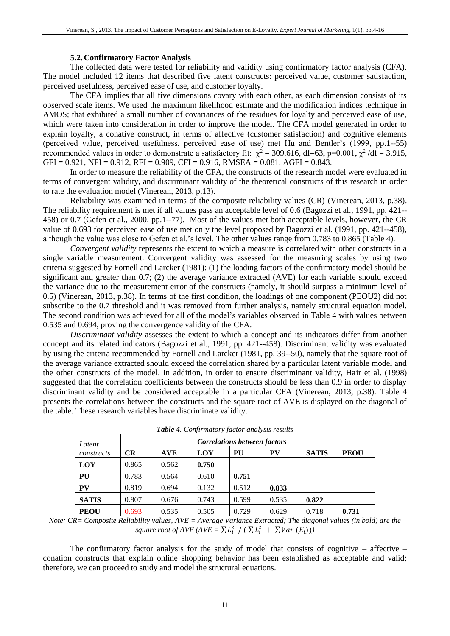#### **5.2.Confirmatory Factor Analysis**

The collected data were tested for reliability and validity using confirmatory factor analysis (CFA). The model included 12 items that described five latent constructs: perceived value, customer satisfaction, perceived usefulness, perceived ease of use, and customer loyalty.

The CFA implies that all five dimensions covary with each other, as each dimension consists of its observed scale items. We used the maximum likelihood estimate and the modification indices technique in AMOS; that exhibited a small number of covariances of the residues for loyalty and perceived ease of use, which were taken into consideration in order to improve the model. The CFA model generated in order to explain loyalty, a conative construct, in terms of affective (customer satisfaction) and cognitive elements (perceived value, perceived usefulness, perceived ease of use) met Hu and Bentler's (1999, pp.1--55) recommended values in order to demonstrate a satisfactory fit:  $\chi^2$  = 309.616, df=63, p=0.001,  $\chi^2$ /df = 3.915,  $GFI = 0.921$ ,  $NFI = 0.912$ ,  $RFI = 0.909$ ,  $CFI = 0.916$ ,  $RMSEA = 0.081$ ,  $AGFI = 0.843$ .

In order to measure the reliability of the CFA, the constructs of the research model were evaluated in terms of convergent validity, and discriminant validity of the theoretical constructs of this research in order to rate the evaluation model (Vinerean, 2013, p.13).

Reliability was examined in terms of the composite reliability values (CR) (Vinerean, 2013, p.38). The reliability requirement is met if all values pass an acceptable level of 0.6 (Bagozzi et al., 1991, pp. 421-- 458) or 0.7 (Gefen et al., 2000, pp.1--77). Most of the values met both acceptable levels, however, the CR value of 0.693 for perceived ease of use met only the level proposed by Bagozzi et al. (1991, pp. 421--458), although the value was close to Gefen et al.'s level. The other values range from 0.783 to 0.865 (Table 4).

*Convergent validity* represents the extent to which a measure is correlated with other constructs in a single variable measurement. Convergent validity was assessed for the measuring scales by using two criteria suggested by Fornell and Larcker (1981): (1) the loading factors of the confirmatory model should be significant and greater than 0.7; (2) the average variance extracted (AVE) for each variable should exceed the variance due to the measurement error of the constructs (namely, it should surpass a minimum level of 0.5) (Vinerean, 2013, p.38). In terms of the first condition, the loadings of one component (PEOU2) did not subscribe to the 0.7 threshold and it was removed from further analysis, namely structural equation model. The second condition was achieved for all of the model's variables observed in Table 4 with values between 0.535 and 0.694, proving the convergence validity of the CFA.

*Discriminant validity* assesses the extent to which a concept and its indicators differ from another concept and its related indicators (Bagozzi et al., 1991, pp. 421--458). Discriminant validity was evaluated by using the criteria recommended by Fornell and Larcker (1981, pp. 39--50), namely that the square root of the average variance extracted should exceed the correlation shared by a particular latent variable model and the other constructs of the model. In addition, in order to ensure discriminant validity, Hair et al. (1998) suggested that the correlation coefficients between the constructs should be less than 0.9 in order to display discriminant validity and be considered acceptable in a particular CFA (Vinerean, 2013, p.38). Table 4 presents the correlations between the constructs and the square root of AVE is displayed on the diagonal of the table. These research variables have discriminate validity.

| Latent       |           |            |       | <b>Correlations between factors</b> |       |              |             |  |
|--------------|-----------|------------|-------|-------------------------------------|-------|--------------|-------------|--|
| constructs   | <b>CR</b> | <b>AVE</b> | LOY   | PU                                  | PV    | <b>SATIS</b> | <b>PEOU</b> |  |
| LOY          | 0.865     | 0.562      | 0.750 |                                     |       |              |             |  |
| PU           | 0.783     | 0.564      | 0.610 | 0.751                               |       |              |             |  |
| PV           | 0.819     | 0.694      | 0.132 | 0.512                               | 0.833 |              |             |  |
| <b>SATIS</b> | 0.807     | 0.676      | 0.743 | 0.599                               | 0.535 | 0.822        |             |  |
| <b>PEOU</b>  | 0.693     | 0.535      | 0.505 | 0.729                               | 0.629 | 0.718        | 0.731       |  |

*Table 4. Confirmatory factor analysis results*

*Note: CR= Composite Reliability values, AVE = Average Variance Extracted; The diagonal values (in bold) are the*  square root of AVE (AVE =  $\sum L_i^2$  / ( $\sum L_i^2$  +  $\sum Var(E_i)$ ))

The confirmatory factor analysis for the study of model that consists of cognitive  $-$  affective  $$ conation constructs that explain online shopping behavior has been established as acceptable and valid; therefore, we can proceed to study and model the structural equations.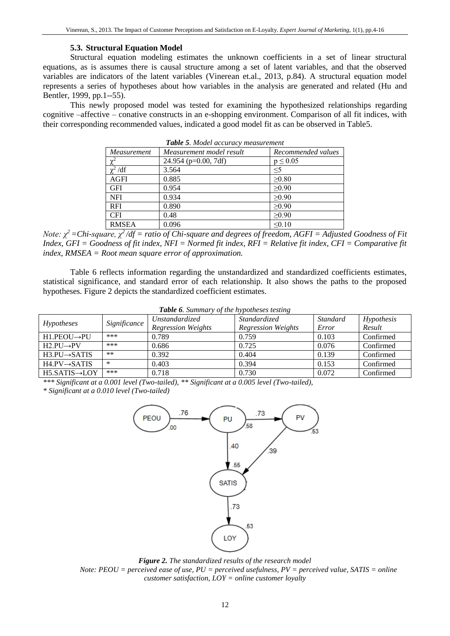#### **5.3. Structural Equation Model**

Structural equation modeling estimates the unknown coefficients in a set of linear structural equations, as is assumes there is causal structure among a set of latent variables, and that the observed variables are indicators of the latent variables (Vinerean et.al., 2013, p.84). A structural equation model represents a series of hypotheses about how variables in the analysis are generated and related (Hu and Bentler, 1999, pp.1--55).

This newly proposed model was tested for examining the hypothesized relationships regarding cognitive –affective – conative constructs in an e-shopping environment. Comparison of all fit indices, with their corresponding recommended values, indicated a good model fit as can be observed in Table5.

*Table 5. Model accuracy measurement*

| Measurement  | Measurement model result | Recommended values |
|--------------|--------------------------|--------------------|
| $\chi^2$     | 24.954 ( $p=0.00$ , 7df) | $p \leq 0.05$      |
| $\chi^2$ /df | 3.564                    | $\leq$ 5           |
| AGFI         | 0.885                    | >0.80              |
| GFI          | 0.954                    | $\geq 0.90$        |
| <b>NFI</b>   | 0.934                    | $\geq 0.90$        |
| <b>RFI</b>   | 0.890                    | $\geq 0.90$        |
| <b>CFI</b>   | 0.48                     | $\geq 0.90$        |
| <b>RMSEA</b> | 0.096                    | < 0.10             |

*Note: χ<sup>2</sup>=Chi-square, χ<sup>2</sup>/df = ratio of Chi-square and degrees of freedom, AGFI = Adjusted Goodness of Fit Index, GFI = Goodness of fit index, NFI = Normed fit index, RFI = Relative fit index, CFI = Comparative fit index, RMSEA = Root mean square error of approximation.*

Table 6 reflects information regarding the unstandardized and standardized coefficients estimates, statistical significance, and standard error of each relationship. It also shows the paths to the proposed hypotheses. Figure 2 depicts the standardized coefficient estimates.

| <b>Table 6.</b> Summary of the hypotheses testing |              |                           |                           |          |            |  |  |  |
|---------------------------------------------------|--------------|---------------------------|---------------------------|----------|------------|--|--|--|
|                                                   | Significance | <i>Unstandardized</i>     | Standardized              | Standard | Hypothesis |  |  |  |
| Hypotheses                                        |              | <b>Regression Weights</b> | <b>Regression Weights</b> | Error    | Result     |  |  |  |
| $H1.PEOU \rightarrow PU$                          | ***          | 0.789                     | 0.759                     | 0.103    | Confirmed  |  |  |  |
| $H2$ . PU $\rightarrow$ PV                        | ***          | 0.686                     | 0.725                     | 0.076    | Confirmed  |  |  |  |
| $H3.PU \rightarrow SATIS$                         | $***$        | 0.392                     | 0.404                     | 0.139    | Confirmed  |  |  |  |
| $H4.PV \rightarrow SATIS$                         | $\ast$       | 0.403                     | 0.394                     | 0.153    | Confirmed  |  |  |  |
| $H5.SATIS \rightarrow LOY$                        | ***          | 0.718                     | 0.730                     | 0.072    | Confirmed  |  |  |  |

*Table 6. Summary of the hypotheses testing*

*\*\*\* Significant at a 0.001 level (Two-tailed), \*\* Significant at a 0.005 level (Two-tailed),* 

*\* Significant at a 0.010 level (Two-tailed)*



*Figure 2. The standardized results of the research model Note: PEOU = perceived ease of use, PU = perceived usefulness, PV = perceived value, SATIS = online customer satisfaction, LOY = online customer loyalty*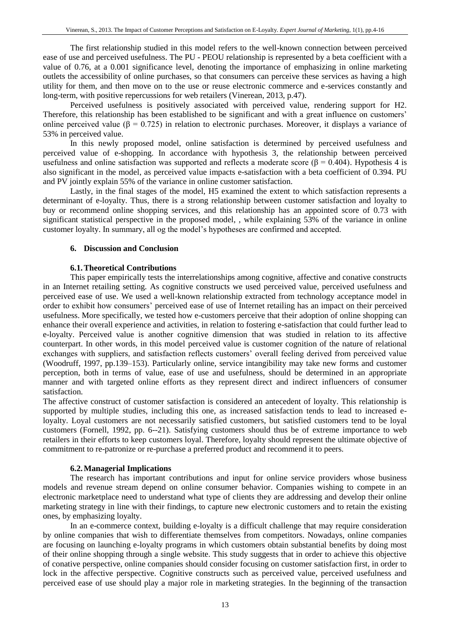The first relationship studied in this model refers to the well-known connection between perceived ease of use and perceived usefulness. The PU - PEOU relationship is represented by a beta coefficient with a value of 0.76, at a 0.001 significance level, denoting the importance of emphasizing in online marketing outlets the accessibility of online purchases, so that consumers can perceive these services as having a high utility for them, and then move on to the use or reuse electronic commerce and e-services constantly and long-term, with positive repercussions for web retailers (Vinerean, 2013, p.47).

Perceived usefulness is positively associated with perceived value, rendering support for H2. Therefore, this relationship has been established to be significant and with a great influence on customers' online perceived value ( $\beta$  = 0.725) in relation to electronic purchases. Moreover, it displays a variance of 53% in perceived value.

In this newly proposed model, online satisfaction is determined by perceived usefulness and perceived value of e-shopping. In accordance with hypothesis 3, the relationship between perceived usefulness and online satisfaction was supported and reflects a moderate score ( $\beta = 0.404$ ). Hypothesis 4 is also significant in the model, as perceived value impacts e-satisfaction with a beta coefficient of 0.394. PU and PV jointly explain 55% of the variance in online customer satisfaction.

Lastly, in the final stages of the model, H5 examined the extent to which satisfaction represents a determinant of e-loyalty. Thus, there is a strong relationship between customer satisfaction and loyalty to buy or recommend online shopping services, and this relationship has an appointed score of 0.73 with significant statistical perspective in the proposed model, , while explaining 53% of the variance in online customer loyalty. In summary, all og the model's hypotheses are confirmed and accepted.

#### **6. Discussion and Conclusion**

#### **6.1.Theoretical Contributions**

This paper empirically tests the interrelationships among cognitive, affective and conative constructs in an Internet retailing setting. As cognitive constructs we used perceived value, perceived usefulness and perceived ease of use. We used a well-known relationship extracted from technology acceptance model in order to exhibit how consumers' perceived ease of use of Internet retailing has an impact on their perceived usefulness. More specifically, we tested how e-customers perceive that their adoption of online shopping can enhance their overall experience and activities, in relation to fostering e-satisfaction that could further lead to e-loyalty. Perceived value is another cognitive dimension that was studied in relation to its affective counterpart. In other words, in this model perceived value is customer cognition of the nature of relational exchanges with suppliers, and satisfaction reflects customers' overall feeling derived from perceived value (Woodruff, 1997, pp.139–153). Particularly online, service intangibility may take new forms and customer perception, both in terms of value, ease of use and usefulness, should be determined in an appropriate manner and with targeted online efforts as they represent direct and indirect influencers of consumer satisfaction.

The affective construct of customer satisfaction is considered an antecedent of loyalty. This relationship is supported by multiple studies, including this one, as increased satisfaction tends to lead to increased eloyalty. Loyal customers are not necessarily satisfied customers, but satisfied customers tend to be loyal customers (Fornell, 1992, pp. 6--21). Satisfying customers should thus be of extreme importance to web retailers in their efforts to keep customers loyal. Therefore, loyalty should represent the ultimate objective of commitment to re-patronize or re-purchase a preferred product and recommend it to peers.

# **6.2.Managerial Implications**

The research has important contributions and input for online service providers whose business models and revenue stream depend on online consumer behavior. Companies wishing to compete in an electronic marketplace need to understand what type of clients they are addressing and develop their online marketing strategy in line with their findings, to capture new electronic customers and to retain the existing ones, by emphasizing loyalty.

In an e-commerce context, building e-loyalty is a difficult challenge that may require consideration by online companies that wish to differentiate themselves from competitors. Nowadays, online companies are focusing on launching e-loyalty programs in which customers obtain substantial benefits by doing most of their online shopping through a single website. This study suggests that in order to achieve this objective of conative perspective, online companies should consider focusing on customer satisfaction first, in order to lock in the affective perspective. Cognitive constructs such as perceived value, perceived usefulness and perceived ease of use should play a major role in marketing strategies. In the beginning of the transaction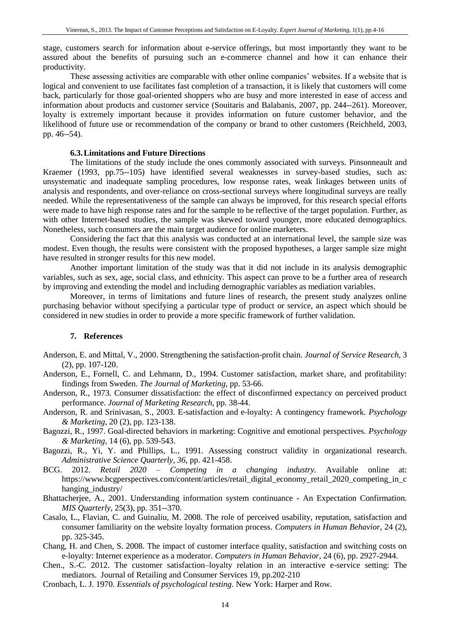stage, customers search for information about e-service offerings, but most importantly they want to be assured about the benefits of pursuing such an e-commerce channel and how it can enhance their productivity.

These assessing activities are comparable with other online companies' websites. If a website that is logical and convenient to use facilitates fast completion of a transaction, it is likely that customers will come back, particularly for those goal-oriented shoppers who are busy and more interested in ease of access and information about products and customer service (Souitaris and Balabanis, 2007, pp. 244--261). Moreover, loyalty is extremely important because it provides information on future customer behavior, and the likelihood of future use or recommendation of the company or brand to other customers (Reichheld, 2003, pp. 46--54).

#### **6.3.Limitations and Future Directions**

The limitations of the study include the ones commonly associated with surveys. Pinsonneault and Kraemer (1993, pp.75--105) have identified several weaknesses in survey-based studies, such as: unsystematic and inadequate sampling procedures, low response rates, weak linkages between units of analysis and respondents, and over-reliance on cross-sectional surveys where longitudinal surveys are really needed. While the representativeness of the sample can always be improved, for this research special efforts were made to have high response rates and for the sample to be reflective of the target population. Further, as with other Internet-based studies, the sample was skewed toward younger, more educated demographics. Nonetheless, such consumers are the main target audience for online marketers.

Considering the fact that this analysis was conducted at an international level, the sample size was modest. Even though, the results were consistent with the proposed hypotheses, a larger sample size might have resulted in stronger results for this new model.

Another important limitation of the study was that it did not include in its analysis demographic variables, such as sex, age, social class, and ethnicity. This aspect can prove to be a further area of research by improving and extending the model and including demographic variables as mediation variables.

Moreover, in terms of limitations and future lines of research, the present study analyzes online purchasing behavior without specifying a particular type of product or service, an aspect which should be considered in new studies in order to provide a more specific framework of further validation.

#### **7. References**

- Anderson, E. and Mittal, V., 2000. Strengthening the satisfaction-profit chain. *Journal of Service Research*, 3 (2), pp. 107-120.
- Anderson, E., Fornell, C. and Lehmann, D., 1994. Customer satisfaction, market share, and profitability: findings from Sweden. *The Journal of Marketing*, pp. 53-66.
- Anderson, R., 1973. Consumer dissatisfaction: the effect of disconfirmed expectancy on perceived product performance. *Journal of Marketing Research*, pp. 38-44.
- Anderson, R. and Srinivasan, S., 2003. E-satisfaction and e-loyalty: A contingency framework. *Psychology & Marketing*, 20 (2), pp. 123-138.
- Bagozzi, R., 1997. Goal-directed behaviors in marketing: Cognitive and emotional perspectives. *Psychology & Marketing*, 14 (6), pp. 539-543.
- Bagozzi, R., Yi, Y. and Phillips, L., 1991. Assessing construct validity in organizational research. *Administrative Science Quarterly, 36,* pp. 421-458.
- BCG. 2012. *Retail 2020 – Competing in a changing industry.* Available online at: https://www.bcgperspectives.com/content/articles/retail\_digital\_economy\_retail\_2020\_competing\_in\_c hanging\_industry/
- Bhattacherjee, A., 2001. Understanding information system continuance An Expectation Confirmation. *MIS Quarterly*, 25(3), pp. 351--370.
- Casalo, L., Flavian, C. and Guinaliu, M. 2008. The role of perceived usability, reputation, satisfaction and consumer familiarity on the website loyalty formation process. *Computers in Human Behavior*, 24 (2), pp. 325-345.
- Chang, H. and Chen, S. 2008. The impact of customer interface quality, satisfaction and switching costs on e-loyalty: Internet experience as a moderator. *Computers in Human Behavior*, 24 (6), pp. 2927-2944.
- Chen., S.-C. 2012. The customer satisfaction–loyalty relation in an interactive e-service setting: The mediators. Journal of Retailing and Consumer Services 19, pp.202-210
- Cronbach, L. J. 1970. *Essentials of psychological testing*. New York: Harper and Row.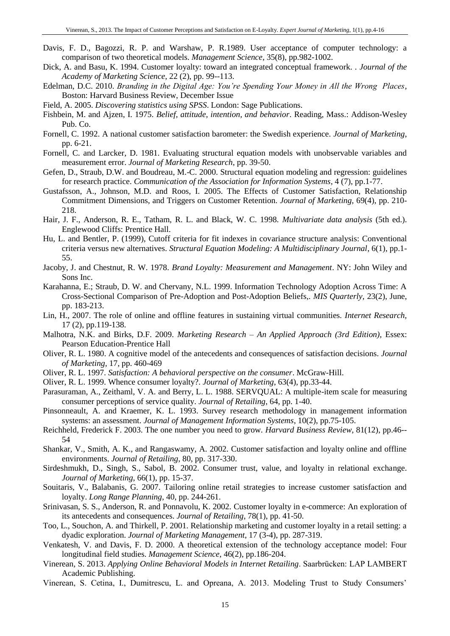- Davis, F. D., Bagozzi, R. P. and Warshaw, P. R.1989. User acceptance of computer technology: a comparison of two theoretical models. *Management Science*, 35(8), pp.982-1002.
- Dick, A. and Basu, K. 1994. Customer loyalty: toward an integrated conceptual framework. *. Journal of the Academy of Marketing Science*, 22 (2), pp. 99--113.
- Edelman, D.C. 2010. *Branding in the Digital Age: You're Spending Your Money in All the Wrong Places*, Boston: Harvard Business Review, December Issue
- Field, A. 2005. *Discovering statistics using SPSS*. London: Sage Publications.
- Fishbein, M. and Ajzen, I. 1975. *Belief, attitude, intention, and behavior*. Reading, Mass.: Addison-Wesley Pub. Co.
- Fornell, C. 1992. A national customer satisfaction barometer: the Swedish experience. *Journal of Marketing*, pp. 6-21.
- Fornell, C. and Larcker, D. 1981. Evaluating structural equation models with unobservable variables and measurement error. *Journal of Marketing Research*, pp. 39-50.
- Gefen, D., Straub, D.W. and Boudreau, M.-C. 2000. Structural equation modeling and regression: guidelines for research practice. *Communication of the Association for Information Systems*, 4 (7), pp.1-77.
- Gustafsson, A., Johnson, M.D. and Roos, I. 2005. The Effects of Customer Satisfaction, Relationship Commitment Dimensions, and Triggers on Customer Retention. *Journal of Marketing,* 69(4), pp. 210- 218.
- Hair, J. F., Anderson, R. E., Tatham, R. L. and Black, W. C. 1998. *Multivariate data analysis* (5th ed.). Englewood Cliffs: Prentice Hall.
- Hu, L. and Bentler, P. (1999), Cutoff criteria for fit indexes in covariance structure analysis: Conventional criteria versus new alternatives. *Structural Equation Modeling: A Multidisciplinary Journal*, 6(1), pp.1- 55.
- Jacoby, J. and Chestnut, R. W. 1978. *Brand Loyalty: Measurement and Management*. NY: John Wiley and Sons Inc.
- Karahanna, E.; Straub, D. W. and Chervany, N.L. 1999. Information Technology Adoption Across Time: A Cross-Sectional Comparison of Pre-Adoption and Post-Adoption Beliefs,. *MIS Quarterly,* 23(2), June, pp. 183-213.
- Lin, H., 2007. The role of online and offline features in sustaining virtual communities. *Internet Research,* 17 (2), pp.119-138.
- Malhotra, N.K. and Birks, D.F. 2009. *Marketing Research – An Applied Approach (3rd Edition),* Essex: Pearson Education-Prentice Hall
- Oliver, R. L. 1980. A cognitive model of the antecedents and consequences of satisfaction decisions. *Journal of Marketing,* 17, pp. 460-469
- Oliver, R. L. 1997. *Satisfaction: A behavioral perspective on the consumer*. McGraw-Hill.
- Oliver, R. L. 1999. Whence consumer loyalty?. *Journal of Marketing*, 63(4), pp.33-44.
- Parasuraman, A., Zeithaml, V. A. and Berry, L. L. 1988. SERVQUAL: A multiple-item scale for measuring consumer perceptions of service quality. *Journal of Retailing*, 64, pp. 1-40.
- Pinsonneault, A. and Kraemer, K. L. 1993. Survey research methodology in management information systems: an assessment. *Journal of Management Information Systems*, 10(2), pp.75-105.
- Reichheld, Frederick F. 2003. The one number you need to grow. *Harvard Business Review*, 81(12), pp.46-- 54
- Shankar, V., Smith, A. K., and Rangaswamy, A. 2002. Customer satisfaction and loyalty online and offline environments. *Journal of Retailing*, 80, pp. 317-330.
- Sirdeshmukh, D., Singh, S., Sabol, B. 2002. Consumer trust, value, and loyalty in relational exchange. *Journal of Marketing*, 66(1), pp. 15-37.
- Souitaris, V., Balabanis, G. 2007. Tailoring online retail strategies to increase customer satisfaction and loyalty. *Long Range Planning*, 40, pp. 244-261.
- Srinivasan, S. S., Anderson, R. and Ponnavolu, K. 2002. Customer loyalty in e-commerce: An exploration of its antecedents and consequences. *Journal of Retailing*, 78(1), pp. 41-50.
- Too, L., Souchon, A. and Thirkell, P. 2001. Relationship marketing and customer loyalty in a retail setting: a dyadic exploration. *Journal of Marketing Management*, 17 (3-4), pp. 287-319.
- Venkatesh, V. and Davis, F. D. 2000. A theoretical extension of the technology acceptance model: Four longitudinal field studies. *Management Science*, 46(2), pp.186-204.
- Vinerean, S. 2013. *Applying Online Behavioral Models in Internet Retailing*. Saarbrücken: LAP LAMBERT Academic Publishing.
- Vinerean, S. Cetina, I., Dumitrescu, L. and Opreana, A. 2013. Modeling Trust to Study Consumers'